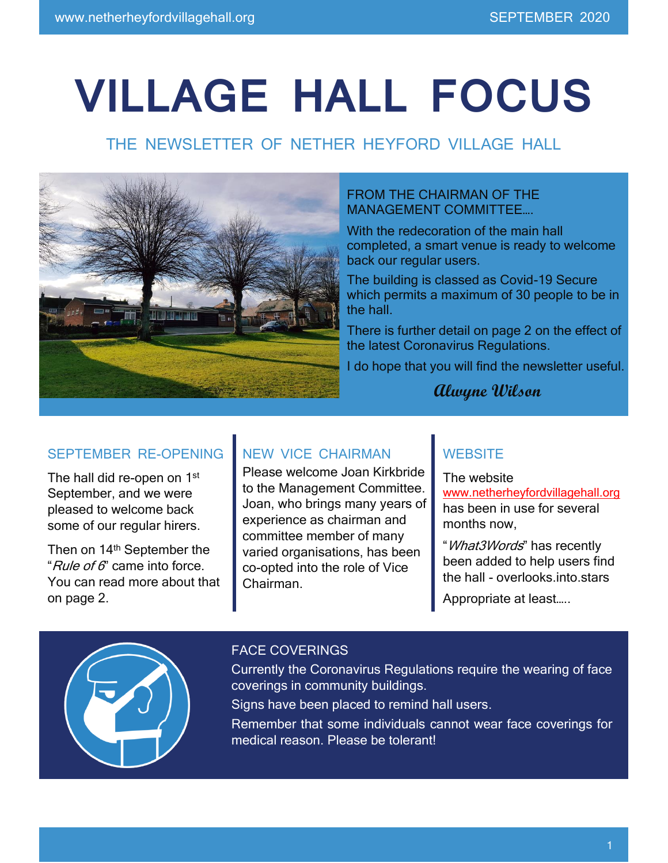# **VILLAGE HALL FOCUS**

## THE NEWSLETTER OF NETHER HEYFORD VILLAGE HALL



#### FROM THE CHAIRMAN OF THE MANAGEMENT COMMITTEE….

With the redecoration of the main hall completed, a smart venue is ready to welcome back our regular users.

The building is classed as Covid-19 Secure which permits a maximum of 30 people to be in the hall.

There is further detail on page 2 on the effect of the latest Coronavirus Regulations.

I do hope that you will find the newsletter useful.

**Alwyne Wilson**

### SEPTEMBER RE-OPENING

The hall did re-open on 1<sup>st</sup> September, and we were pleased to welcome back some of our regular hirers.

Then on 14<sup>th</sup> September the "*Rule of 6*" came into force. You can read more about that on page 2.

### NEW VICE CHAIRMAN

Please welcome Joan Kirkbride to the Management Committee. Joan, who brings many years of experience as chairman and committee member of many varied organisations, has been co-opted into the role of Vice Chairman.

### **WEBSITE**

The website [www.netherheyfordvillagehall.org](http://www.netherheyfordvillagehall.org/) has been in use for several months now,

"What3Words" has recently been added to help users find the hall - overlooks into stars.

Appropriate at least…..



#### FACE COVERINGS

Currently the Coronavirus Regulations require the wearing of face coverings in community buildings.

Signs have been placed to remind hall users.

Remember that some individuals cannot wear face coverings for medical reason. Please be tolerant!